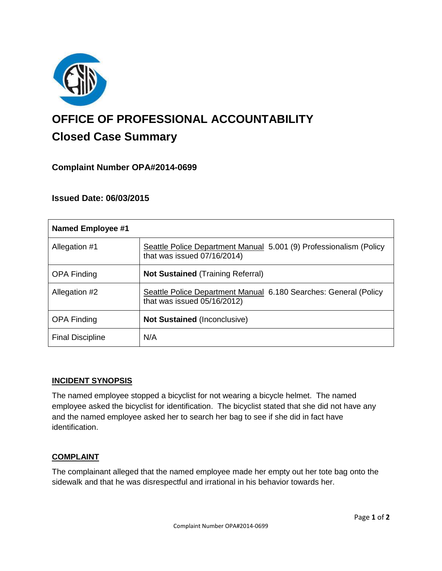

# **OFFICE OF PROFESSIONAL ACCOUNTABILITY Closed Case Summary**

# **Complaint Number OPA#2014-0699**

## **Issued Date: 06/03/2015**

| <b>Named Employee #1</b> |                                                                                                    |
|--------------------------|----------------------------------------------------------------------------------------------------|
| Allegation #1            | Seattle Police Department Manual 5.001 (9) Professionalism (Policy<br>that was issued 07/16/2014)  |
| <b>OPA Finding</b>       | <b>Not Sustained (Training Referral)</b>                                                           |
| Allegation #2            | Seattle Police Department Manual 6.180 Searches: General (Policy<br>that was issued $05/16/2012$ ) |
| <b>OPA Finding</b>       | <b>Not Sustained (Inconclusive)</b>                                                                |
| <b>Final Discipline</b>  | N/A                                                                                                |

## **INCIDENT SYNOPSIS**

The named employee stopped a bicyclist for not wearing a bicycle helmet. The named employee asked the bicyclist for identification. The bicyclist stated that she did not have any and the named employee asked her to search her bag to see if she did in fact have identification.

#### **COMPLAINT**

The complainant alleged that the named employee made her empty out her tote bag onto the sidewalk and that he was disrespectful and irrational in his behavior towards her.